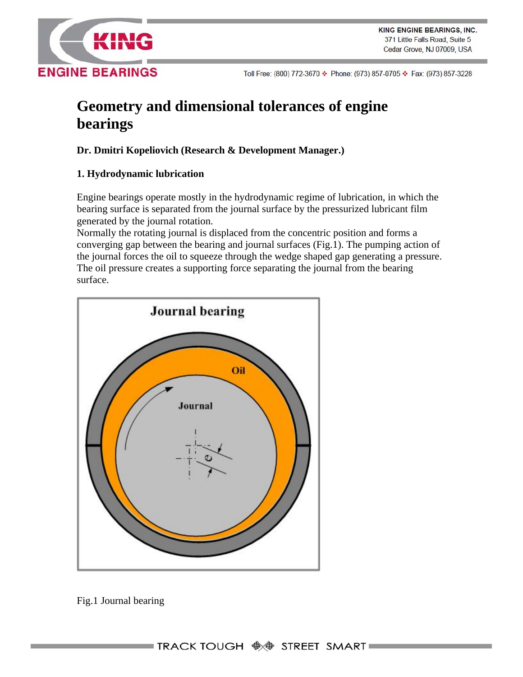

# **Geometry and dimensional tolerances of engine bearings**

## **Dr. Dmitri Kopeliovich (Research & Development Manager.)**

## **1. Hydrodynamic lubrication**

Engine bearings operate mostly in the hydrodynamic regime of lubrication, in which the bearing surface is separated from the journal surface by the pressurized lubricant film generated by the journal rotation.

Normally the rotating journal is displaced from the concentric position and forms a converging gap between the bearing and journal surfaces (Fig.1). The pumping action of the journal forces the oil to squeeze through the wedge shaped gap generating a pressure. The oil pressure creates a supporting force separating the journal from the bearing surface.



Fig.1 Journal bearing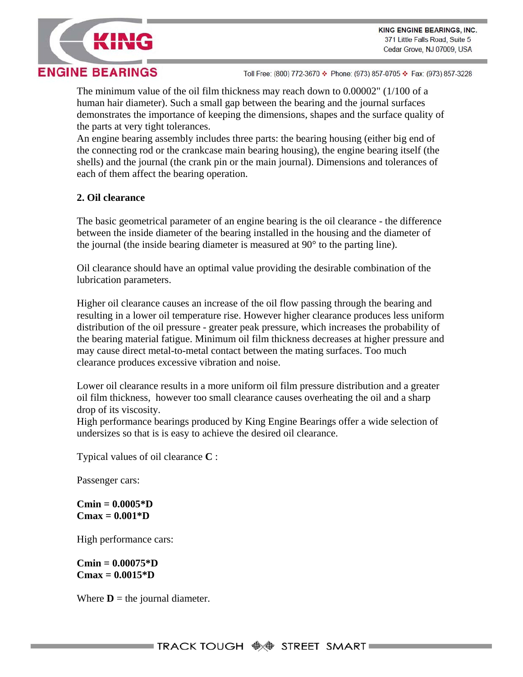

The minimum value of the oil film thickness may reach down to 0.00002" (1/100 of a human hair diameter). Such a small gap between the bearing and the journal surfaces demonstrates the importance of keeping the dimensions, shapes and the surface quality of the parts at very tight tolerances.

An engine bearing assembly includes three parts: the bearing housing (either big end of the connecting rod or the crankcase main bearing housing), the engine bearing itself (the shells) and the journal (the crank pin or the main journal). Dimensions and tolerances of each of them affect the bearing operation.

### **2. Oil clearance**

The basic geometrical parameter of an engine bearing is the oil clearance - the difference between the inside diameter of the bearing installed in the housing and the diameter of the journal (the inside bearing diameter is measured at 90° to the parting line).

Oil clearance should have an optimal value providing the desirable combination of the lubrication parameters.

Higher oil clearance causes an increase of the oil flow passing through the bearing and resulting in a lower oil temperature rise. However higher clearance produces less uniform distribution of the oil pressure - greater peak pressure, which increases the probability of the bearing material fatigue. Minimum oil film thickness decreases at higher pressure and may cause direct metal-to-metal contact between the mating surfaces. Too much clearance produces excessive vibration and noise.

Lower oil clearance results in a more uniform oil film pressure distribution and a greater oil film thickness, however too small clearance causes overheating the oil and a sharp drop of its viscosity.

High performance bearings produced by King Engine Bearings offer a wide selection of undersizes so that is is easy to achieve the desired oil clearance.

Typical values of oil clearance **C** :

Passenger cars:

**Cmin = 0.0005\*D Cmax = 0.001\*D** 

High performance cars:

**Cmin = 0.00075\*D Cmax = 0.0015\*D** 

Where  $\mathbf{D}$  = the journal diameter.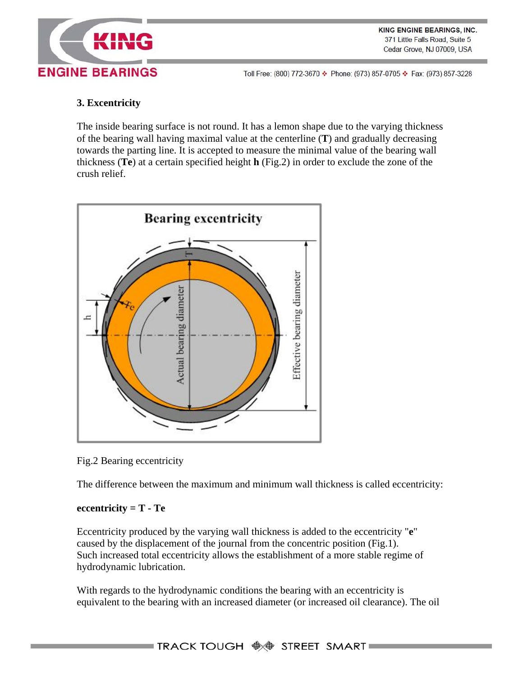

**KING ENGINE BEARINGS, INC.** 371 Little Falls Road, Suite 5 Cedar Grove, NJ 07009, USA

Toll Free: (800) 772-3670 � Phone: (973) 857-0705 � Fax: (973) 857-3228

#### **3. Excentricity**

The inside bearing surface is not round. It has a lemon shape due to the varying thickness of the bearing wall having maximal value at the centerline (**T**) and gradually decreasing towards the parting line. It is accepted to measure the minimal value of the bearing wall thickness (**Te**) at a certain specified height **h** (Fig.2) in order to exclude the zone of the crush relief.



Fig.2 Bearing eccentricity

The difference between the maximum and minimum wall thickness is called eccentricity:

#### **eccentricity = T - Te**

Eccentricity produced by the varying wall thickness is added to the eccentricity "**e**" caused by the displacement of the journal from the concentric position (Fig.1). Such increased total eccentricity allows the establishment of a more stable regime of hydrodynamic lubrication.

With regards to the hydrodynamic conditions the bearing with an eccentricity is equivalent to the bearing with an increased diameter (or increased oil clearance). The oil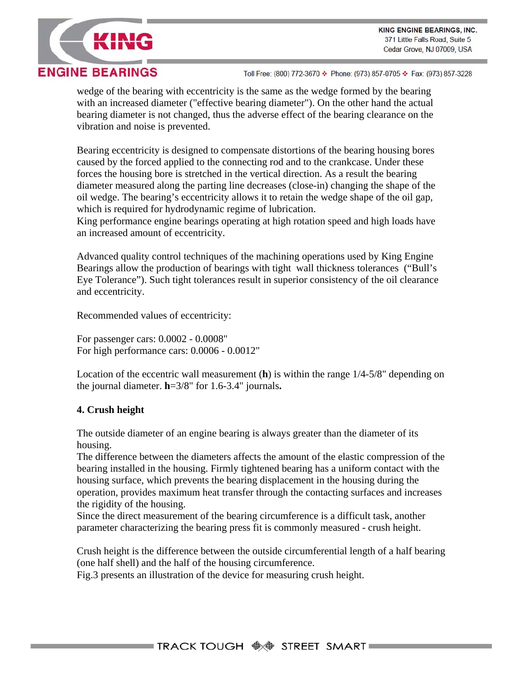



wedge of the bearing with eccentricity is the same as the wedge formed by the bearing with an increased diameter ("effective bearing diameter"). On the other hand the actual bearing diameter is not changed, thus the adverse effect of the bearing clearance on the vibration and noise is prevented.

Bearing eccentricity is designed to compensate distortions of the bearing housing bores caused by the forced applied to the connecting rod and to the crankcase. Under these forces the housing bore is stretched in the vertical direction. As a result the bearing diameter measured along the parting line decreases (close-in) changing the shape of the oil wedge. The bearing's eccentricity allows it to retain the wedge shape of the oil gap, which is required for hydrodynamic regime of lubrication.

King performance engine bearings operating at high rotation speed and high loads have an increased amount of eccentricity.

Advanced quality control techniques of the machining operations used by King Engine Bearings allow the production of bearings with tight wall thickness tolerances ("Bull's Eye Tolerance"). Such tight tolerances result in superior consistency of the oil clearance and eccentricity.

Recommended values of eccentricity:

For passenger cars: 0.0002 - 0.0008" For high performance cars: 0.0006 - 0.0012"

Location of the eccentric wall measurement (**h**) is within the range 1/4-5/8" depending on the journal diameter. **h**=3/8" for 1.6-3.4" journals**.**

#### **4. Crush height**

The outside diameter of an engine bearing is always greater than the diameter of its housing.

The difference between the diameters affects the amount of the elastic compression of the bearing installed in the housing. Firmly tightened bearing has a uniform contact with the housing surface, which prevents the bearing displacement in the housing during the operation, provides maximum heat transfer through the contacting surfaces and increases the rigidity of the housing.

Since the direct measurement of the bearing circumference is a difficult task, another parameter characterizing the bearing press fit is commonly measured - crush height.

Crush height is the difference between the outside circumferential length of a half bearing (one half shell) and the half of the housing circumference.

Fig.3 presents an illustration of the device for measuring crush height.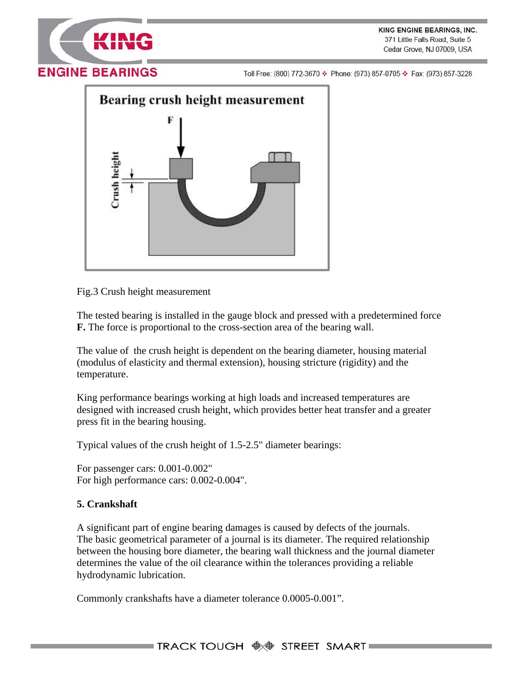



Fig.3 Crush height measurement

The tested bearing is installed in the gauge block and pressed with a predetermined force **F.** The force is proportional to the cross-section area of the bearing wall.

The value of the crush height is dependent on the bearing diameter, housing material (modulus of elasticity and thermal extension), housing stricture (rigidity) and the temperature.

King performance bearings working at high loads and increased temperatures are designed with increased crush height, which provides better heat transfer and a greater press fit in the bearing housing.

Typical values of the crush height of 1.5-2.5" diameter bearings:

For passenger cars: 0.001-0.002" For high performance cars: 0.002-0.004".

#### **5. Crankshaft**

A significant part of engine bearing damages is caused by defects of the journals. The basic geometrical parameter of a journal is its diameter. The required relationship between the housing bore diameter, the bearing wall thickness and the journal diameter determines the value of the oil clearance within the tolerances providing a reliable hydrodynamic lubrication.

Commonly crankshafts have a diameter tolerance 0.0005-0.001".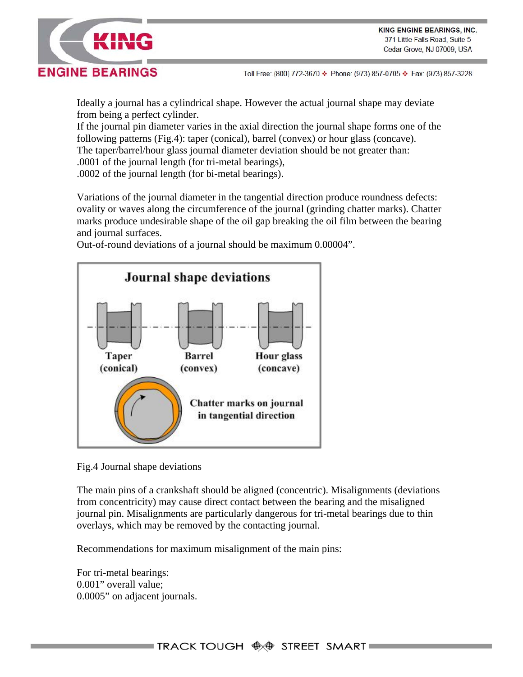



Ideally a journal has a cylindrical shape. However the actual journal shape may deviate from being a perfect cylinder.

If the journal pin diameter varies in the axial direction the journal shape forms one of the following patterns (Fig.4): taper (conical), barrel (convex) or hour glass (concave). The taper/barrel/hour glass journal diameter deviation should be not greater than: .0001 of the journal length (for tri-metal bearings), .0002 of the journal length (for bi-metal bearings).

Variations of the journal diameter in the tangential direction produce roundness defects: ovality or waves along the circumference of the journal (grinding chatter marks). Chatter marks produce undesirable shape of the oil gap breaking the oil film between the bearing and journal surfaces.

**Journal shape deviations Barrel** Hour glass Taper (conical) (concave) (convex) Chatter marks on journal in tangential direction

Out-of-round deviations of a journal should be maximum 0.00004".

Fig.4 Journal shape deviations

The main pins of a crankshaft should be aligned (concentric). Misalignments (deviations from concentricity) may cause direct contact between the bearing and the misaligned journal pin. Misalignments are particularly dangerous for tri-metal bearings due to thin overlays, which may be removed by the contacting journal.

Recommendations for maximum misalignment of the main pins:

For tri-metal bearings: 0.001" overall value; 0.0005" on adjacent journals.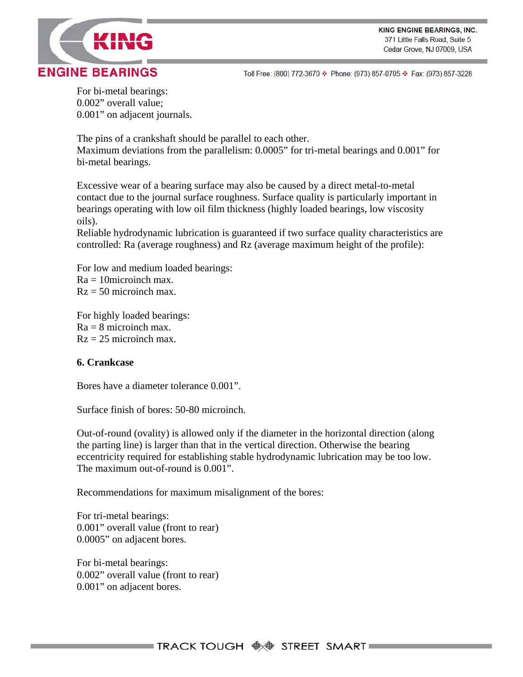

For bi-metal bearings: 0.002" overall value; 0.001" on adjacent journals.

The pins of a crankshaft should be parallel to each other. Maximum deviations from the parallelism: 0.0005" for tri-metal bearings and 0.001" for bi-metal bearings.

Excessive wear of a bearing surface may also be caused by a direct metal-to-metal contact due to the journal surface roughness. Surface quality is particularly important in bearings operating with low oil film thickness (highly loaded bearings, low viscosity oils).

Reliable hydrodynamic lubrication is guaranteed if two surface quality characteristics are controlled: Ra (average roughness) and Rz (average maximum height of the profile):

For low and medium loaded bearings:  $Ra = 10$ microinch max.  $Rz = 50$  microinch max.

For highly loaded bearings:  $Ra = 8$  microinch max.  $Rz = 25$  microinch max.

#### **6. Crankcase**

Bores have a diameter tolerance 0.001".

Surface finish of bores: 50-80 microinch.

Out-of-round (ovality) is allowed only if the diameter in the horizontal direction (along the parting line) is larger than that in the vertical direction. Otherwise the bearing eccentricity required for establishing stable hydrodynamic lubrication may be too low. The maximum out-of-round is 0.001".

Recommendations for maximum misalignment of the bores:

For tri-metal bearings: 0.001" overall value (front to rear) 0.0005" on adjacent bores.

For bi-metal bearings: 0.002" overall value (front to rear) 0.001" on adjacent bores.